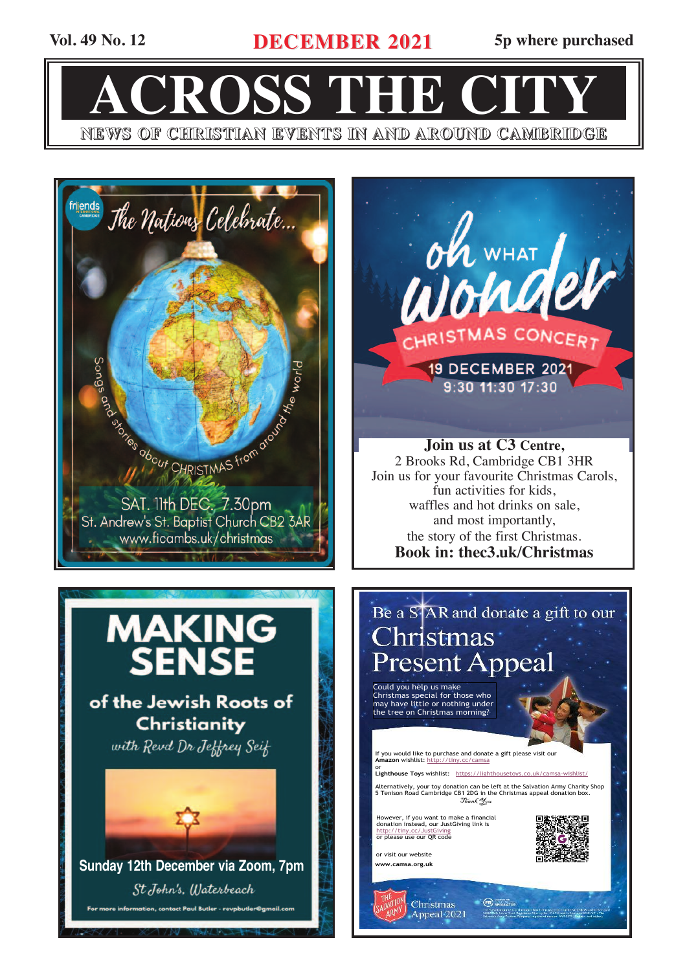**Vol. 49 No. 12 DECEMBER 2021 5p where purchased**

**ACROSS THE CITY NEWS OF CHRISTIAN EVENTS IN AND AROUND CAMBRIDGE**



oh WHAT / HRISTMAS CONCERT **19 DECEMBER 2021** 9:30 11:30 17:30

**Join us at C3 Centre,** 2 Brooks Rd, Cambridge CB1 3HR Join us for your favourite Christmas Carols, fun activities for kids, waffles and hot drinks on sale, and most importantly, the story of the first Christmas. **Book in: thec3.uk/Christmas**



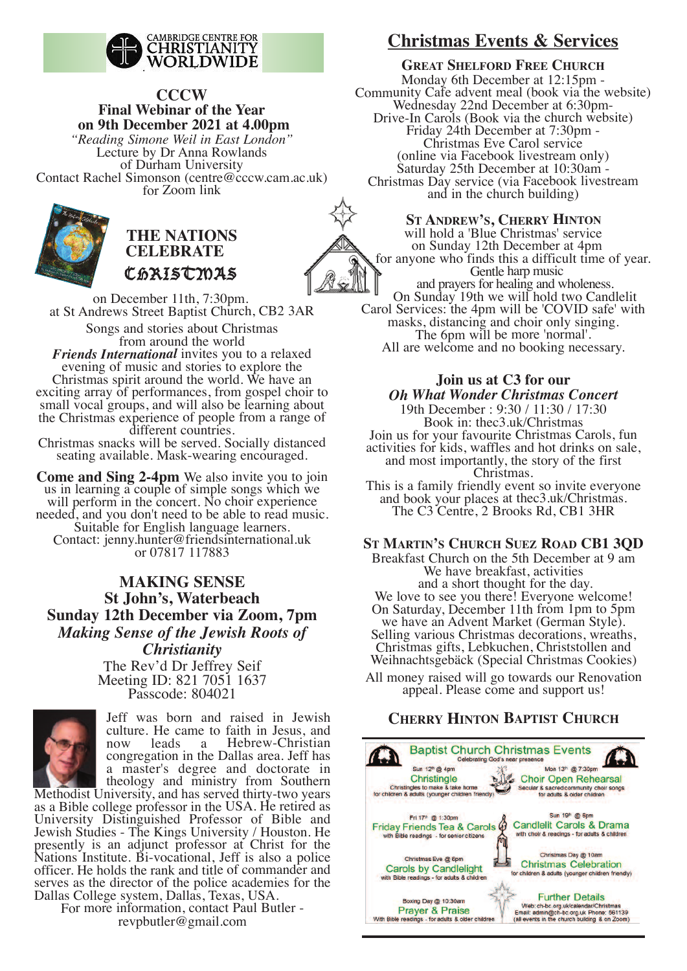

# **CCCW Final Webinar of the Year on 9th December 2021 at 4.00pm**

*"Reading Simone Weil in East London"* Lecture by Dr Anna Rowlands of Durham University Contact Rachel Simonson (centre@cccw.cam.ac.uk) for Zoom link



# **THE NATIONS CElEBRATE** Christmas

on December 11th, 7:30pm. at St Andrews Street Baptist Church, CB2 3AR Songs and stories about Christmas

from around the world *Friends International* invites you to <sup>a</sup> relaxed evening of music and stories to explore the Christmas spirit around the world. We have an exciting array of performances, from gospel choir to small vocal groups, and will also be learning about the Christmas experience of people from <sup>a</sup> range of different countries.

Christmas snacks will be served. Socially distanced seating available. Mask-wearing encouraged.

**Come and Sing 2-4pm** We also invite you to join us in learning <sup>a</sup> couple of simple songs which we will perform in the concert. No choir experience needed, and you don't need to be able to read music. Suitable for English language learners. Contact: jenny.hunter@friendsinternational.uk or 07817 117883

# **MAkING SENSE St John's, Waterbeach Sunday 12th December via Zoom, 7pm** *Making Sense of the Jewish Roots of Christianity* The Rev'd Dr Jeffrey Seif

Meeting ID: 821 7051 1637 Passcode: 804021



Jeff was born and raised in Jewish culture. He came to faith in Jesus, and now leads <sup>a</sup> Hebrew-Christian congregation in the Dallas area. Jeff has <sup>a</sup> master's degree and doctorate in theology and ministry from Southern

Methodist University, and has served thirty-two years as <sup>a</sup> Bible college professor in the USA. He retired as University Distinguished Professor of Bible and Jewish Studies - The Kings University / Houston. He presently is an adjunct professor at Christ for the Nations Institute. Bi-vocational, Jeff is also <sup>a</sup> police officer. He holds the rank and title of commander and serves as the director of the police academies for the Dallas College system, Dallas, Texas, USA.

For more information, contact Paul Butler revpbutler@gmail.com

# **Christmas Events & Services**

**GREAT SHElFORD FREE CHURCH** Monday 6th December at 12:15pm - Community Cafe advent meal (book via the website) Wednesday 22nd December at 6:30pm- Drive-In Carols (Book via the church website) Friday 24th December at 7:30pm - Christmas Eve Carol service (online via Facebook livestream only) Saturday 25th December at 10:30am - Christmas Day service (via Facebook livestream and in the church building)

## **ST ANDREW'S, CHERRY HINTON**

will hold <sup>a</sup> 'Blue Christmas' service on Sunday 12th December at 4pm for anyone who finds this <sup>a</sup> difficult time of year. Gentle harp music and prayers for healing and wholeness. On Sunday 19th we will hold two Candlelit Carol Services: the 4pm will be 'COVID safe' with masks, distancing and choir only singing. The 6pm will be more 'normal'. All are welcome and no booking necessary.

## **Join us at C3 for our** *Oh What Wonder Christmas Concert*

19th December : 9:30 / 11:30 / 17:30 Book in: thec3.uk/Christmas Join us for your favourite Christmas Carols, fun activities for kids, waffles and hot drinks on sale, and most importantly, the story of the first Christmas.

This is <sup>a</sup> family friendly event so invite everyone and book your places at thec3.uk/Christmas. The C3 Centre, 2 Brooks Rd, CB1 3HR

## **ST MARTIN'S CHURCH SUEZ ROAD CB1 3QD**

Breakfast Church on the 5th December at 9 am We have breakfast, activities and <sup>a</sup> short thought for the day. We love to see you there! Everyone welcome! On Saturday, December 11th from 1pm to 5pm we have an Advent Market (German Style). Selling various Christmas decorations, wreaths, Christmas gifts, Lebkuchen, Christstollen and Weihnachtsgebäck (Special Christmas Cookies)

All money raised will go towards our Renovation appeal. Please come and suppor<sup>t</sup> us!

# **CHERRY HINTON BApTIST CHURCH**

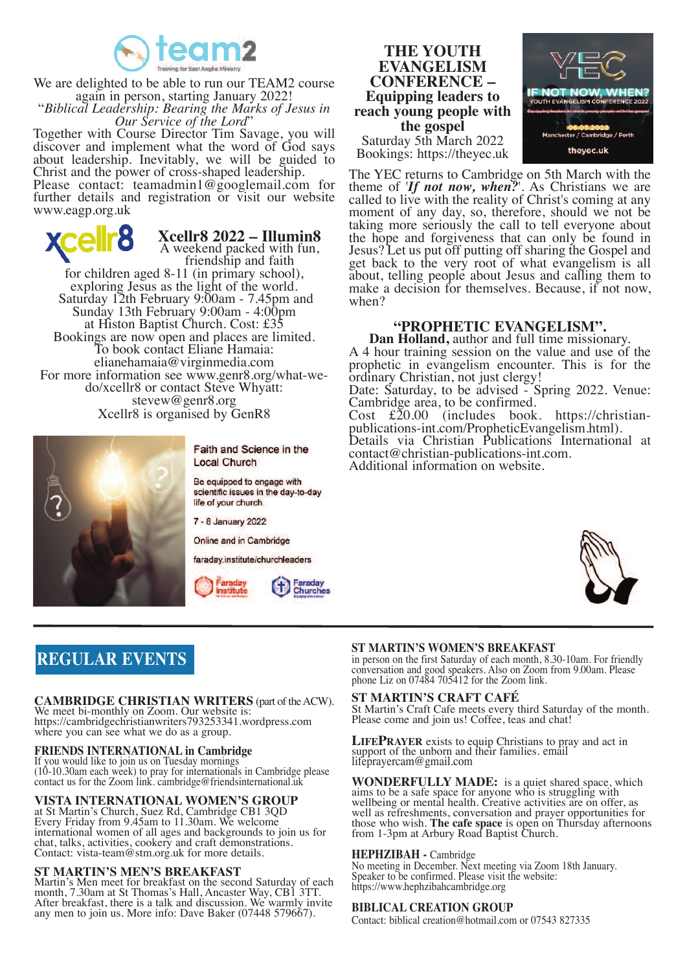

We are delighted to be able to run our TEAM2 course<br>again in person, starting January 2022! again in person, starting January 2022! "*Biblical Leadership: Bearing the Marks of Jesus in*

Together with Course Director Tim Savage, you will discover and implement what the word of God says about leadership. Inevitably, we will be guided to Christ and the power of cross-shaped leadership.

Please contact: teamadmin1@googlemail.com for further details and registration or visit our website www.eagp.org.uk

**Xcellr8 2022 – Illumin8** A weekend packed with fun,<br>friendship and faith<br>for children aged 8-11 (in primary school), exploring Jesus as the light of the world.<br>Saturday 12th February 9:00am - 7.45pm and Sunday 13th February 9:00am - 4:00pm at Histon Baptist Church. Cost: £35 Bookings are now open and places are limited. To book contact Eliane Hamaia: elianehamaia@virginmedia.com For more information see www.genr8.org/what-we-<br>do/xcellr8 or contact Steve Whyatt: stevew@genr8.org Xcellr8 is organised by GenR8



Faith and Science in the **Local Church** 

Be equipped to engage with scientific issues in the day-to-day life of your church.

7 - 8 January 2022

Online and in Cambridge

faraday.institute/churchleaders



# **REGUlAR EVENTS**

**CAMBRIDGE CHRISTIAN WRITERS** (part of theACW). We meet bi-monthly on Zoom. Our website is: https://cambridgechristianwriters793253341.wordpress.com where you can see what we do as a group.

### **FRIENDS INTERNATIONAl in Cambridge**

If you would like to join us on Tuesday mornings (10-10.30am each week) to pray for internationals in Cambridge please contact us for the Zoom link. cambridge@friendsinternational.uk

### **VISTA INTERNATIONAl WOMEN'S GROUp**

at St Martin's Church, Suez Rd, Cambridge CB1 3QD Every Friday from 9.45am to 11.30am. We welcome international women of all ages and backgrounds to join us for chat, talks, activities, cookery and craft demonstrations. Contact: vista-team@stm.org.uk for more details.

#### **ST MARTIN'S MEN'S BREAkFAST**

Martin's Men meet for breakfast on the second Saturday of each month, 7.30am at St Thomas's Hall, Ancaster Way, CB1 3TT. After breakfast, there is <sup>a</sup> talk and discussion. We warmly invite any men to join us. More info: Dave Baker (07448 579667).



Saturday 5th March 2022 Bookings: https://theyec.uk



The YEC returns to Cambridge on 5th March with the theme of '*If not now, when?*'. As Christians we are called to live with the reality of Christ's coming at any moment of any day, so, therefore, should we not be taking more seriously the call to tell everyone about the hope and forgiveness that can only be found in Jesus? Let us put off putting off sharing the Gospel and get back to the very root of what evangelism is all about, telling people about Jesus and calling them to make <sup>a</sup> decision for themselves. Because, if not now, when?

**"PROPHETIC EVANGELISM".**<br>Dan Holland, author and full time missionary.<br>A 4 hour training session on the value and use of the prophetic in evangelism encounter. This is for the ordinary Christian, not just clergy! Date: Saturday, to be advised - Spring 2022. Venue:<br>Cambridge area, to be confirmed.

Cost £20.00 (includes book. https://christian-<br>publications-int.com/PropheticEvangelism.html).<br>Details via Christian Publications International at contact@christian-publications-int.com. Additional information on website.



## **ST MARTIN'S WOMEN'S BREAkFAST**

in person on the first Saturday of each month, 8.30-10am. For friendly conversation and good speakers. Also on Zoom from 9.00am. Please phone Liz on 07484 705412 for the Zoom link.

#### **ST MARTIN'S CRAFT CAFé**

St Martin's Craft Cafe meets every third Saturday of the month. Please come and join us! Coffee, teas and chat!

**LIFEPRAYER** exists to equip Christians to pray and act in support of the unborn and their families. email lifeprayercam@gmail.com

**WONDERFUllY MADE:** is a quiet shared space, which aims to be a safe space for anyone who is struggling with wellbeing or mental health. Creative activities are on offer, as well as refreshments, conversation and prayer opportunities for those who wish. **The cafe space** is open on Thursday afternoons from 1-3pm at Arbury Road Baptist Church.

#### **HEpHZIBAH -** Cambridge

No meeting in December. Next meeting via Zoom 18th January. Speaker to be confirmed. Please visit the website: https://www.hephzibahcambridge.org

#### **BIBlICAl CREATION GROUp**

Contact: biblical creation@hotmail.com or 07543 827335